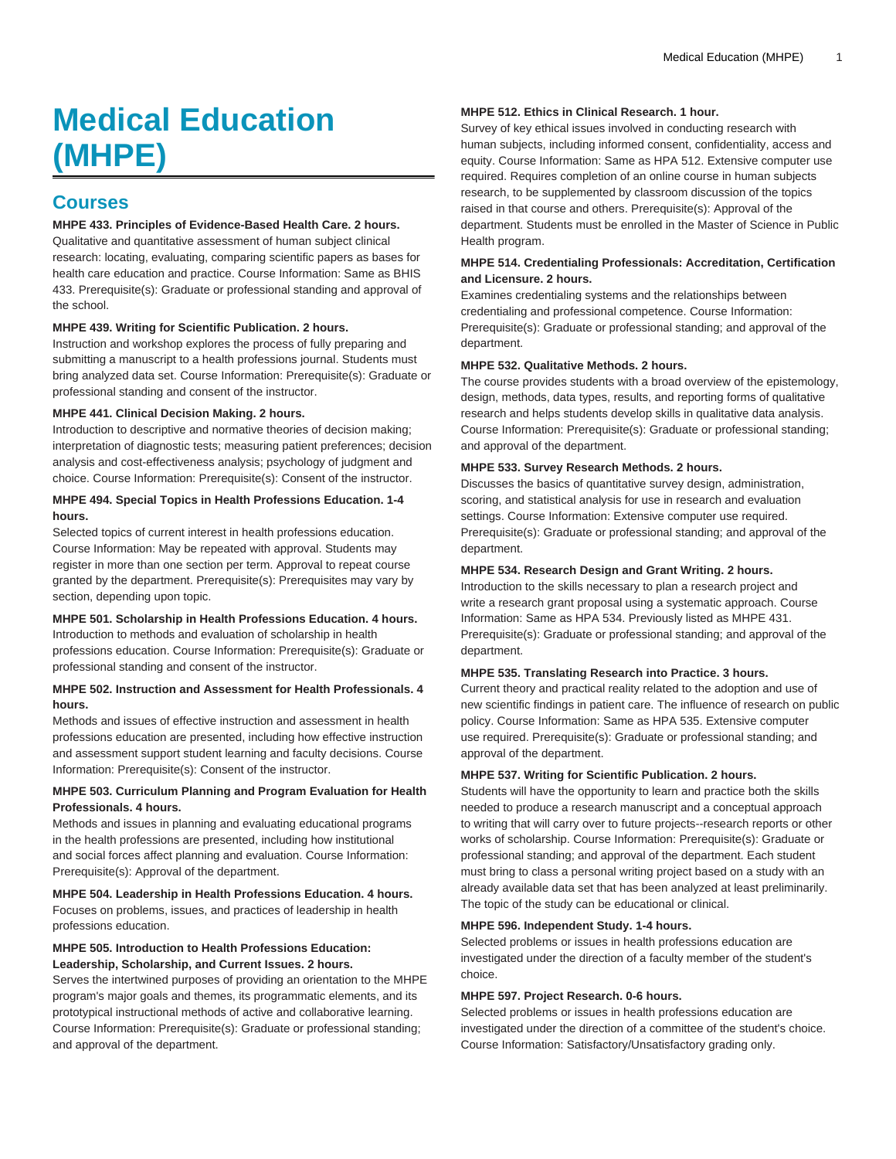# **Medical Education (MHPE)**

# **Courses**

# **MHPE 433. Principles of Evidence-Based Health Care. 2 hours.**

Qualitative and quantitative assessment of human subject clinical research: locating, evaluating, comparing scientific papers as bases for health care education and practice. Course Information: Same as BHIS 433. Prerequisite(s): Graduate or professional standing and approval of the school.

#### **MHPE 439. Writing for Scientific Publication. 2 hours.**

Instruction and workshop explores the process of fully preparing and submitting a manuscript to a health professions journal. Students must bring analyzed data set. Course Information: Prerequisite(s): Graduate or professional standing and consent of the instructor.

#### **MHPE 441. Clinical Decision Making. 2 hours.**

Introduction to descriptive and normative theories of decision making; interpretation of diagnostic tests; measuring patient preferences; decision analysis and cost-effectiveness analysis; psychology of judgment and choice. Course Information: Prerequisite(s): Consent of the instructor.

#### **MHPE 494. Special Topics in Health Professions Education. 1-4 hours.**

Selected topics of current interest in health professions education. Course Information: May be repeated with approval. Students may register in more than one section per term. Approval to repeat course granted by the department. Prerequisite(s): Prerequisites may vary by section, depending upon topic.

### **MHPE 501. Scholarship in Health Professions Education. 4 hours.**

Introduction to methods and evaluation of scholarship in health professions education. Course Information: Prerequisite(s): Graduate or professional standing and consent of the instructor.

#### **MHPE 502. Instruction and Assessment for Health Professionals. 4 hours.**

Methods and issues of effective instruction and assessment in health professions education are presented, including how effective instruction and assessment support student learning and faculty decisions. Course Information: Prerequisite(s): Consent of the instructor.

#### **MHPE 503. Curriculum Planning and Program Evaluation for Health Professionals. 4 hours.**

Methods and issues in planning and evaluating educational programs in the health professions are presented, including how institutional and social forces affect planning and evaluation. Course Information: Prerequisite(s): Approval of the department.

**MHPE 504. Leadership in Health Professions Education. 4 hours.** Focuses on problems, issues, and practices of leadership in health professions education.

# **MHPE 505. Introduction to Health Professions Education: Leadership, Scholarship, and Current Issues. 2 hours.**

Serves the intertwined purposes of providing an orientation to the MHPE program's major goals and themes, its programmatic elements, and its prototypical instructional methods of active and collaborative learning. Course Information: Prerequisite(s): Graduate or professional standing; and approval of the department.

#### **MHPE 512. Ethics in Clinical Research. 1 hour.**

Survey of key ethical issues involved in conducting research with human subjects, including informed consent, confidentiality, access and equity. Course Information: Same as HPA 512. Extensive computer use required. Requires completion of an online course in human subjects research, to be supplemented by classroom discussion of the topics raised in that course and others. Prerequisite(s): Approval of the department. Students must be enrolled in the Master of Science in Public Health program.

#### **MHPE 514. Credentialing Professionals: Accreditation, Certification and Licensure. 2 hours.**

Examines credentialing systems and the relationships between credentialing and professional competence. Course Information: Prerequisite(s): Graduate or professional standing; and approval of the department.

#### **MHPE 532. Qualitative Methods. 2 hours.**

The course provides students with a broad overview of the epistemology, design, methods, data types, results, and reporting forms of qualitative research and helps students develop skills in qualitative data analysis. Course Information: Prerequisite(s): Graduate or professional standing; and approval of the department.

# **MHPE 533. Survey Research Methods. 2 hours.**

Discusses the basics of quantitative survey design, administration, scoring, and statistical analysis for use in research and evaluation settings. Course Information: Extensive computer use required. Prerequisite(s): Graduate or professional standing; and approval of the department.

# **MHPE 534. Research Design and Grant Writing. 2 hours.**

Introduction to the skills necessary to plan a research project and write a research grant proposal using a systematic approach. Course Information: Same as HPA 534. Previously listed as MHPE 431. Prerequisite(s): Graduate or professional standing; and approval of the department.

#### **MHPE 535. Translating Research into Practice. 3 hours.**

Current theory and practical reality related to the adoption and use of new scientific findings in patient care. The influence of research on public policy. Course Information: Same as HPA 535. Extensive computer use required. Prerequisite(s): Graduate or professional standing; and approval of the department.

#### **MHPE 537. Writing for Scientific Publication. 2 hours.**

Students will have the opportunity to learn and practice both the skills needed to produce a research manuscript and a conceptual approach to writing that will carry over to future projects--research reports or other works of scholarship. Course Information: Prerequisite(s): Graduate or professional standing; and approval of the department. Each student must bring to class a personal writing project based on a study with an already available data set that has been analyzed at least preliminarily. The topic of the study can be educational or clinical.

#### **MHPE 596. Independent Study. 1-4 hours.**

Selected problems or issues in health professions education are investigated under the direction of a faculty member of the student's choice.

#### **MHPE 597. Project Research. 0-6 hours.**

Selected problems or issues in health professions education are investigated under the direction of a committee of the student's choice. Course Information: Satisfactory/Unsatisfactory grading only.